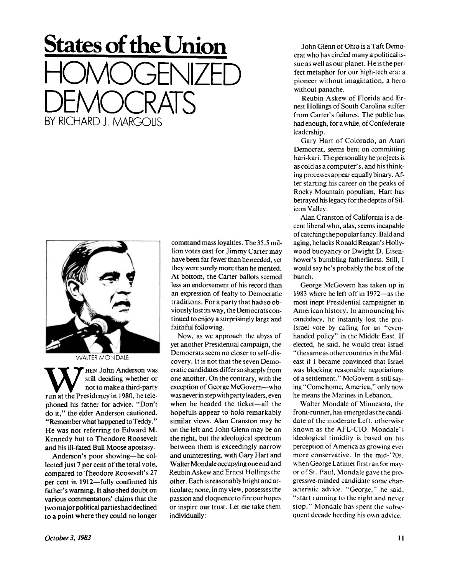## **States of the Union**  HOMOGENIZED DEMOCRATS BY MCHARD J. MARGOLIS



**W**still deciding whether or<br>
not to make a third-party<br>
run at the Presidency in 1980, he tele-HEN John Anderson was still deciding whether or not to make a third-party phoned his father for advice. "Don't do it," the elder Anderson cautioned. " Remember what happened to Teddy." He was not referring to Edward M. Kennedy but to Theodore Roosevelt and his ill-fated Bull Moose apostasy.

Anderson's poor showing—he collected just 7 per cent of the total vote, compared to Theodore Roosevelt's 27 per cent in 1912—fully confirmed his father's warning. It also shed doubt on various commentators' claims that the two major political parties had declined to a point where they could no longer command mass loyalties. The 35.5 million votes cast for Jimmy Carter may have been far fewer than he needed, yet they were surely more than he merited. At bottom, the Carter ballots seemed less an endorsement of his record than an expression of fealty to Democratic traditions. For a party that had so obviously lost its way, the Democrats continued to enjoy a surprisingly large and faithful following.

Now, as we approach the abyss of yet another Presidential campaign, the Democrats seem no closer to self-discovery. It is not that the seven Democratic candidates differ so sharply from one another. On the contrary, with the exception of George McGovern—who was never in step with party leaders, even when he headed the ticket—all the hopefuls appear to hold remarkably similar views. Alan Cranston may be on the left and John Glenn may be on the right, but the ideological spectrum between them is exceedingly narrow and uninteresting, with Gary Hart and Walter Mondale occupying one end and Reubin Askew and Ernest Hollings the other. Each is reasonably bright and articulate; none, in my view, possesses the passion and eloquence to fire our hopes or inspire our trust. Let me take them individually:

John Glenn of Ohio is a Taft Democrat who has circled many a political issue as well as our planet. He is the perfect metaphor for our high-tech era: a pioneer without imagination, a hero without panache.

Reubin Askew of Florida and Ernest Hollings of South Carolina suffer from Carter's failures. The public has had enough, for a while, of Confederate leadership.

Gary Hart of Colorado, an Atari Democrat, seems bent on committing hari-kari. The personality he projects is as cold as a computer's, and his thinking processes appear equally binary. After starting his career on the peaks of Rocky Mountain populism, Hart has betrayed his legacy for the depths of Silicon Valley.

Alan Cranston of California is a decent liberal who, alas, seems incapable of catching the popular fancy. Bald and aging, he lacks Ronald Reagan's Hollywood buoyancy or Dwight D. Eisenhower's bumbling fatherliness. Still, I would say he's probably the best of the bunch.

George McGovern has taken up in 1983 where he left off in 1972—as the most inept Presidential campaigner in American history. In announcing his candidacy, he instantly lost the pro-Israel vote by calling for an "evenhanded policy" in the Middle East. If elected, he said, he would treat Israel "the same as other countries in the Mideast if I became convinced that Israel was blocking reasonable negotiations of a settlement." McGovern is still saying "Come home, America," only now he means the Marines in Lebanon.

Walter Mondale of Minnesota, the front-runner, has emerged as the candidate of the moderate Left, otherwise known as the AFL-CIO. Mondale's ideological timidity is based on his perception of America as growing ever more conservative. In the mid-'70s, when George Latimer first ran for mayor of St. Paul. Mondale gave the progressive-minded candidate some characteristic advice. "George," he said, "start running to the right and never stop." Mondale has spent the subsequent decade heeding his own advice.